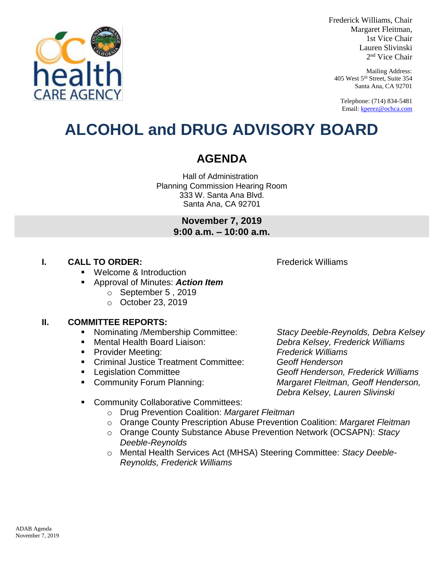

- Community Collaborative Committees: o Drug Prevention Coalition: *Margaret Fleitman* o Orange County Prescription Abuse Prevention Coalition: *Margaret Fleitman*
	- o Orange County Substance Abuse Prevention Network (OCSAPN): *Stacy Deeble-Reynolds*
	- o Mental Health Services Act (MHSA) Steering Committee: *Stacy Deeble-Reynolds, Frederick Williams*

 Legislation Committee *Geoff Henderson, Frederick Williams*  Community Forum Planning: *Margaret Fleitman, Geoff Henderson, Debra Kelsey, Lauren Slivinski*

**ALCOHOL and DRUG ADVISORY BOARD**

## **AGENDA**

Hall of Administration Planning Commission Hearing Room 333 W. Santa Ana Blvd. Santa Ana, CA 92701

> **November 7, 2019 9:00 a.m. – 10:00 a.m.**

- Welcome & Introduction
- Approval of Minutes: *Action Item*
	- o September 5 , 2019
	- o October 23, 2019

## **II. COMMITTEE REPORTS:**

- Nominating /Membership Committee: *Stacy Deeble-Reynolds, Debra Kelsey*
- Mental Health Board Liaison: *Debra Kelsey, Frederick Williams*
- Provider Meeting: *Frederick Williams*
- Criminal Justice Treatment Committee: *Geoff Henderson*
- 
- 

**I. CALL TO ORDER: CALL TO ORDER: FRIDER**: **FRIDER**: **FRIDER**: **FRIDER**: **FRIDER**: **FRIDER**: **FRIDER**: **FRIDER**: **FRIDER**: **FRIDER**: **FRIDER**: **FRIDER**: **FRIDER**: **FRIDER**: **FRIDER**: **FRIDER**: **FRIDER**: **FRIDER**: **FR** 

2 nd Vice Chair Mailing Address: 405 West 5<sup>th</sup> Street, Suite 354 Santa Ana, CA 92701

Telephone: (714) 834-5481 Email[: kperez@ochca.com](mailto:kperez@ochca.com)